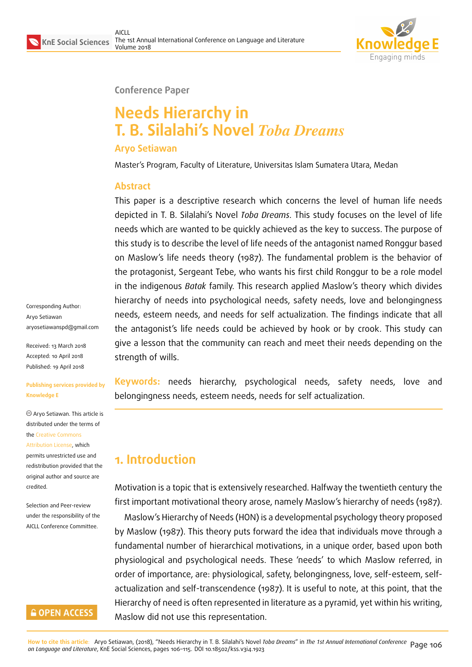

#### **Conference Paper**

# **Needs Hierarchy in T. B. Silalahi's Novel** *Toba Dreams*

#### **Aryo Setiawan**

Master's Program, Faculty of Literature, Universitas Islam Sumatera Utara, Medan

#### **Abstract**

This paper is a descriptive research which concerns the level of human life needs depicted in T. B. Silalahi's Novel *Toba Dreams*. This study focuses on the level of life needs which are wanted to be quickly achieved as the key to success. The purpose of this study is to describe the level of life needs of the antagonist named Ronggur based on Maslow's life needs theory (1987). The fundamental problem is the behavior of the protagonist, Sergeant Tebe, who wants his first child Ronggur to be a role model in the indigenous *Batak* family. This research applied Maslow's theory which divides hierarchy of needs into psychological needs, safety needs, love and belongingness needs, esteem needs, and needs for self actualization. The findings indicate that all the antagonist's life needs could be achieved by hook or by crook. This study can give a lesson that the community can reach and meet their needs depending on the strength of wills.

Corresponding Author: Aryo Setiawan aryosetiawanspd@gmail.com

Received: 13 March 2018 Accepted: 10 April 2018 [Published: 19 April 2018](mailto:aryosetiawanspd@gmail.com)

#### **Publishing services provided by Knowledge E**

Aryo Setiawan. This article is distributed under the terms of the Creative Commons Attribution License, which permits unrestricted use and

redistribution provided that the ori[ginal author and sou](https://creativecommons.org/licenses/by/4.0/)rce are [credited.](https://creativecommons.org/licenses/by/4.0/)

Selection and Peer-review under the responsibility of the AICLL Conference Committee.

### **GOPEN ACCESS**

**Keywords:** needs hierarchy, psychological needs, safety needs, love and belongingness needs, esteem needs, needs for self actualization.

# **1. Introduction**

Motivation is a topic that is extensively researched. Halfway the twentieth century the first important motivational theory arose, namely Maslow's hierarchy of needs (1987).

Maslow's Hierarchy of Needs (HON) is a developmental psychology theory proposed by Maslow (1987). This theory puts forward the idea that individuals move through a fundamental number of hierarchical motivations, in a unique order, based upon both physiological and psychological needs. These 'needs' to which Maslow referred, in order of importance, are: physiological, safety, belongingness, love, self-esteem, selfactualization and self-transcendence (1987). It is useful to note, at this point, that the Hierarchy of need is often represented in literature as a pyramid, yet within his writing, Maslow did not use this representation.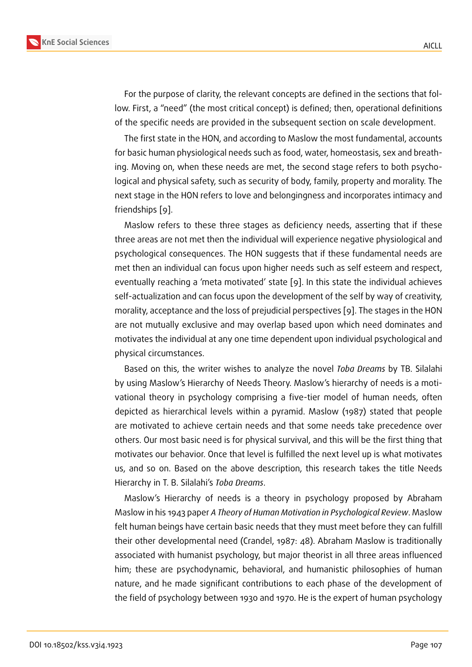For the purpose of clarity, the relevant concepts are defined in the sections that follow. First, a "need" (the most critical concept) is defined; then, operational definitions of the specific needs are provided in the subsequent section on scale development.

The first state in the HON, and according to Maslow the most fundamental, accounts for basic human physiological needs such as food, water, homeostasis, sex and breathing. Moving on, when these needs are met, the second stage refers to both psychological and physical safety, such as security of body, family, property and morality. The next stage in the HON refers to love and belongingness and incorporates intimacy and friendships [9].

Maslow refers to these three stages as deficiency needs, asserting that if these three areas are not met then the individual will experience negative physiological and psychologic[al](#page-8-0) consequences. The HON suggests that if these fundamental needs are met then an individual can focus upon higher needs such as self esteem and respect, eventually reaching a 'meta motivated' state [9]. In this state the individual achieves self-actualization and can focus upon the development of the self by way of creativity, morality, acceptance and the loss of prejudicial perspectives [9]. The stages in the HON are not mutually exclusive and may overlap [bas](#page-8-0)ed upon which need dominates and motivates the individual at any one time dependent upon individual psychological and physical circumstances.

Based on this, the writer wishes to analyze the novel *Toba Dreams* by TB. Silalahi by using Maslow's Hierarchy of Needs Theory. Maslow's hierarchy of needs is a motivational theory in psychology comprising a five-tier model of human needs, often depicted as hierarchical levels within a pyramid. Maslow (1987) stated that people are motivated to achieve certain needs and that some needs take precedence over others. Our most basic need is for physical survival, and this will be the first thing that motivates our behavior. Once that level is fulfilled the next level up is what motivates us, and so on. Based on the above description, this research takes the title Needs Hierarchy in T. B. Silalahi's *Toba Dreams*.

Maslow's Hierarchy of needs is a theory in psychology proposed by Abraham Maslow in his 1943 paper *A Theory of Human Motivation in Psychological Review*. Maslow felt human beings have certain basic needs that they must meet before they can fulfill their other developmental need (Crandel, 1987: 48). Abraham Maslow is traditionally associated with humanist psychology, but major theorist in all three areas influenced him; these are psychodynamic, behavioral, and humanistic philosophies of human nature, and he made significant contributions to each phase of the development of the field of psychology between 1930 and 1970. He is the expert of human psychology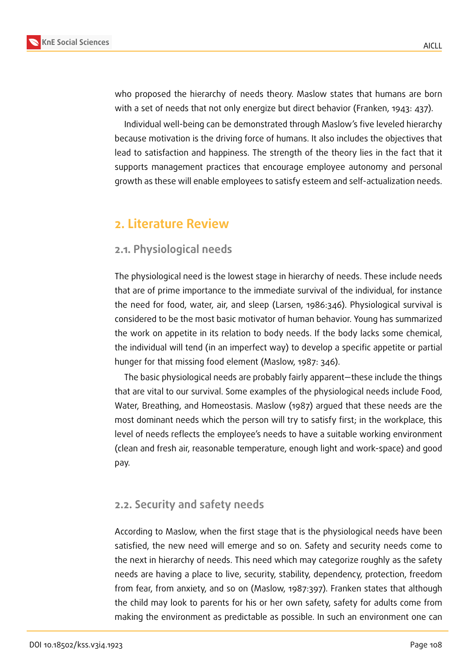

who proposed the hierarchy of needs theory. Maslow states that humans are born with a set of needs that not only energize but direct behavior (Franken, 1943: 437).

Individual well-being can be demonstrated through Maslow's five leveled hierarchy because motivation is the driving force of humans. It also includes the objectives that lead to satisfaction and happiness. The strength of the theory lies in the fact that it supports management practices that encourage employee autonomy and personal growth as these will enable employees to satisfy esteem and self-actualization needs.

# **2. Literature Review**

## **2.1. Physiological needs**

The physiological need is the lowest stage in hierarchy of needs. These include needs that are of prime importance to the immediate survival of the individual, for instance the need for food, water, air, and sleep (Larsen, 1986:346). Physiological survival is considered to be the most basic motivator of human behavior. Young has summarized the work on appetite in its relation to body needs. If the body lacks some chemical, the individual will tend (in an imperfect way) to develop a specific appetite or partial hunger for that missing food element (Maslow, 1987: 346).

The basic physiological needs are probably fairly apparent—these include the things that are vital to our survival. Some examples of the physiological needs include Food, Water, Breathing, and Homeostasis. Maslow (1987) argued that these needs are the most dominant needs which the person will try to satisfy first; in the workplace, this level of needs reflects the employee's needs to have a suitable working environment (clean and fresh air, reasonable temperature, enough light and work-space) and good pay.

### **2.2. Security and safety needs**

According to Maslow, when the first stage that is the physiological needs have been satisfied, the new need will emerge and so on. Safety and security needs come to the next in hierarchy of needs. This need which may categorize roughly as the safety needs are having a place to live, security, stability, dependency, protection, freedom from fear, from anxiety, and so on (Maslow, 1987:397). Franken states that although the child may look to parents for his or her own safety, safety for adults come from making the environment as predictable as possible. In such an environment one can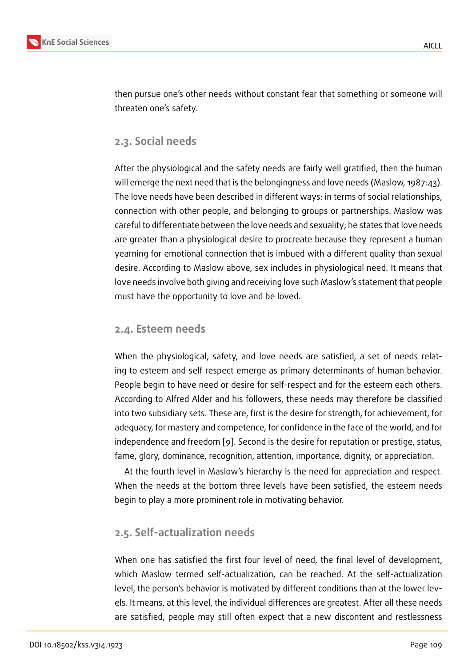then pursue one's other needs without constant fear that something or someone will threaten one's safety.

## **2.3. Social needs**

After the physiological and the safety needs are fairly well gratified, then the human will emerge the next need that is the belongingness and love needs (Maslow, 1987:43). The love needs have been described in different ways: in terms of social relationships, connection with other people, and belonging to groups or partnerships. Maslow was careful to differentiate between the love needs and sexuality; he states that love needs are greater than a physiological desire to procreate because they represent a human yearning for emotional connection that is imbued with a different quality than sexual desire. According to Maslow above, sex includes in physiological need. It means that love needs involve both giving and receiving love such Maslow's statement that people must have the opportunity to love and be loved.

## **2.4. Esteem needs**

When the physiological, safety, and love needs are satisfied, a set of needs relating to esteem and self respect emerge as primary determinants of human behavior. People begin to have need or desire for self-respect and for the esteem each others. According to Alfred Alder and his followers, these needs may therefore be classified into two subsidiary sets. These are, first is the desire for strength, for achievement, for adequacy, for mastery and competence, for confidence in the face of the world, and for independence and freedom [9]. Second is the desire for reputation or prestige, status, fame, glory, dominance, recognition, attention, importance, dignity, or appreciation.

At the fourth level in Maslow's hierarchy is the need for appreciation and respect. When the needs at the bott[om](#page-8-0) three levels have been satisfied, the esteem needs begin to play a more prominent role in motivating behavior.

# **2.5. Self-actualization needs**

When one has satisfied the first four level of need, the final level of development, which Maslow termed self-actualization, can be reached. At the self-actualization level, the person's behavior is motivated by different conditions than at the lower levels. It means, at this level, the individual differences are greatest. After all these needs are satisfied, people may still often expect that a new discontent and restlessness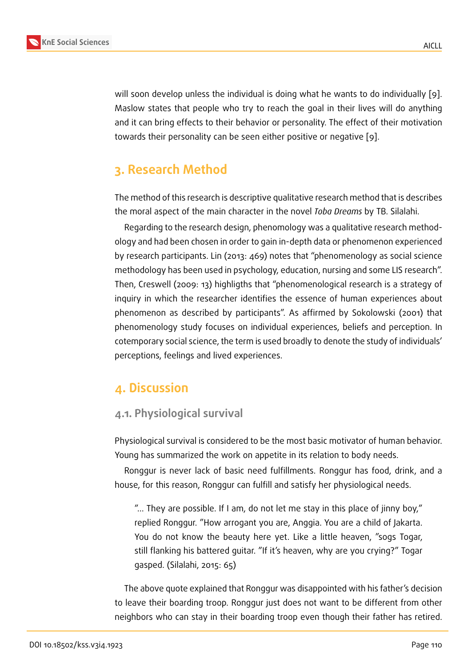will soon develop unless the individual is doing what he wants to do individually [9]. Maslow states that people who try to reach the goal in their lives will do anything and it can bring effects to their behavior or personality. The effect of their motivation towards their personality can be seen either positive or negative [9].

# **3. Research Method**

The method of this research is descriptive qualitative research method that is describes the moral aspect of the main character in the novel *Toba Dreams* by TB. Silalahi.

Regarding to the research design, phenomology was a qualitative research methodology and had been chosen in order to gain in-depth data or phenomenon experienced by research participants. Lin (2013: 469) notes that "phenomenology as social science methodology has been used in psychology, education, nursing and some LIS research". Then, Creswell (2009: 13) highligths that "phenomenological research is a strategy of inquiry in which the researcher identifies the essence of human experiences about phenomenon as described by participants". As affirmed by Sokolowski (2001) that phenomenology study focuses on individual experiences, beliefs and perception. In cotemporary social science, the term is used broadly to denote the study of individuals' perceptions, feelings and lived experiences.

# **4. Discussion**

# **4.1. Physiological survival**

Physiological survival is considered to be the most basic motivator of human behavior. Young has summarized the work on appetite in its relation to body needs.

Ronggur is never lack of basic need fulfillments. Ronggur has food, drink, and a house, for this reason, Ronggur can fulfill and satisfy her physiological needs.

"... They are possible. If I am, do not let me stay in this place of jinny boy," replied Ronggur. "How arrogant you are, Anggia. You are a child of Jakarta. You do not know the beauty here yet. Like a little heaven, "sogs Togar, still flanking his battered guitar. "If it's heaven, why are you crying?" Togar gasped. (Silalahi, 2015: 65)

The above quote explained that Ronggur was disappointed with his father's decision to leave their boarding troop. Ronggur just does not want to be different from other neighbors who can stay in their boarding troop even though their father has retired.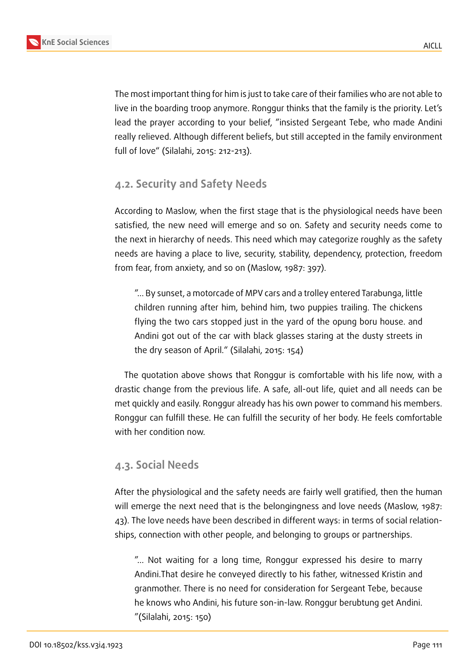The most important thing for him is just to take care of their families who are not able to live in the boarding troop anymore. Ronggur thinks that the family is the priority. Let's lead the prayer according to your belief, "insisted Sergeant Tebe, who made Andini really relieved. Although different beliefs, but still accepted in the family environment full of love" (Silalahi, 2015: 212-213).

## **4.2. Security and Safety Needs**

According to Maslow, when the first stage that is the physiological needs have been satisfied, the new need will emerge and so on. Safety and security needs come to the next in hierarchy of needs. This need which may categorize roughly as the safety needs are having a place to live, security, stability, dependency, protection, freedom from fear, from anxiety, and so on (Maslow, 1987: 397).

"... By sunset, a motorcade of MPV cars and a trolley entered Tarabunga, little children running after him, behind him, two puppies trailing. The chickens flying the two cars stopped just in the yard of the opung boru house. and Andini got out of the car with black glasses staring at the dusty streets in the dry season of April." (Silalahi, 2015: 154)

The quotation above shows that Ronggur is comfortable with his life now, with a drastic change from the previous life. A safe, all-out life, quiet and all needs can be met quickly and easily. Ronggur already has his own power to command his members. Ronggur can fulfill these. He can fulfill the security of her body. He feels comfortable with her condition now.

### **4.3. Social Needs**

After the physiological and the safety needs are fairly well gratified, then the human will emerge the next need that is the belongingness and love needs (Maslow, 1987: 43). The love needs have been described in different ways: in terms of social relationships, connection with other people, and belonging to groups or partnerships.

"... Not waiting for a long time, Ronggur expressed his desire to marry Andini.That desire he conveyed directly to his father, witnessed Kristin and granmother. There is no need for consideration for Sergeant Tebe, because he knows who Andini, his future son-in-law. Ronggur berubtung get Andini. "(Silalahi, 2015: 150)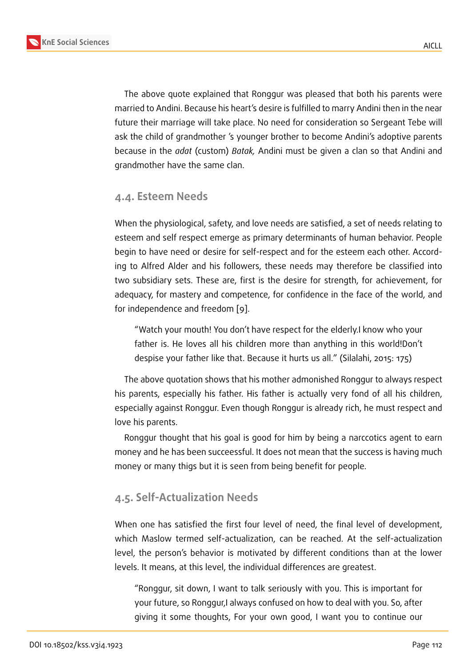The above quote explained that Ronggur was pleased that both his parents were married to Andini. Because his heart's desire is fulfilled to marry Andini then in the near future their marriage will take place. No need for consideration so Sergeant Tebe will ask the child of grandmother 's younger brother to become Andini's adoptive parents because in the *adat* (custom) *Batak,* Andini must be given a clan so that Andini and grandmother have the same clan.

## **4.4. Esteem Needs**

When the physiological, safety, and love needs are satisfied, a set of needs relating to esteem and self respect emerge as primary determinants of human behavior. People begin to have need or desire for self-respect and for the esteem each other. According to Alfred Alder and his followers, these needs may therefore be classified into two subsidiary sets. These are, first is the desire for strength, for achievement, for adequacy, for mastery and competence, for confidence in the face of the world, and for independence and freedom [9].

"Watch your mouth! You don't have respect for the elderly.I know who your father is. He loves all his [chi](#page-8-0)ldren more than anything in this world!Don't despise your father like that. Because it hurts us all." (Silalahi, 2015: 175)

The above quotation shows that his mother admonished Ronggur to always respect his parents, especially his father. His father is actually very fond of all his children, especially against Ronggur. Even though Ronggur is already rich, he must respect and love his parents.

Ronggur thought that his goal is good for him by being a narccotics agent to earn money and he has been succeessful. It does not mean that the success is having much money or many thigs but it is seen from being benefit for people.

## **4.5. Self-Actualization Needs**

When one has satisfied the first four level of need, the final level of development, which Maslow termed self-actualization, can be reached. At the self-actualization level, the person's behavior is motivated by different conditions than at the lower levels. It means, at this level, the individual differences are greatest.

"Ronggur, sit down, I want to talk seriously with you. This is important for your future, so Ronggur,I always confused on how to deal with you. So, after giving it some thoughts, For your own good, I want you to continue our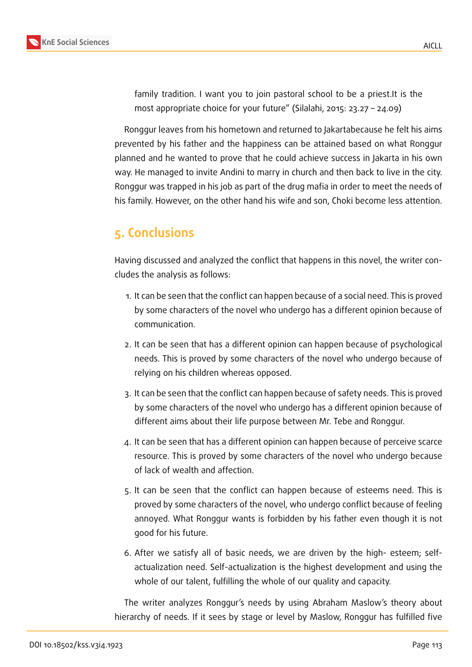

family tradition. I want you to join pastoral school to be a priest.It is the most appropriate choice for your future" (Silalahi, 2015: 23.27 – 24.09)

Ronggur leaves from his hometown and returned to Jakartabecause he felt his aims prevented by his father and the happiness can be attained based on what Ronggur planned and he wanted to prove that he could achieve success in Jakarta in his own way. He managed to invite Andini to marry in church and then back to live in the city. Ronggur was trapped in his job as part of the drug mafia in order to meet the needs of his family. However, on the other hand his wife and son, Choki become less attention.

# **5. Conclusions**

Having discussed and analyzed the conflict that happens in this novel, the writer concludes the analysis as follows:

- 1. It can be seen that the conflict can happen because of a social need. This is proved by some characters of the novel who undergo has a different opinion because of communication.
- 2. It can be seen that has a different opinion can happen because of psychological needs. This is proved by some characters of the novel who undergo because of relying on his children whereas opposed.
- 3. It can be seen that the conflict can happen because of safety needs. This is proved by some characters of the novel who undergo has a different opinion because of different aims about their life purpose between Mr. Tebe and Ronggur.
- 4. It can be seen that has a different opinion can happen because of perceive scarce resource. This is proved by some characters of the novel who undergo because of lack of wealth and affection.
- 5. It can be seen that the conflict can happen because of esteems need. This is proved by some characters of the novel, who undergo conflict because of feeling annoyed. What Ronggur wants is forbidden by his father even though it is not good for his future.
- 6. After we satisfy all of basic needs, we are driven by the high- esteem; selfactualization need. Self-actualization is the highest development and using the whole of our talent, fulfilling the whole of our quality and capacity.

The writer analyzes Ronggur's needs by using Abraham Maslow's theory about hierarchy of needs. If it sees by stage or level by Maslow, Ronggur has fulfilled five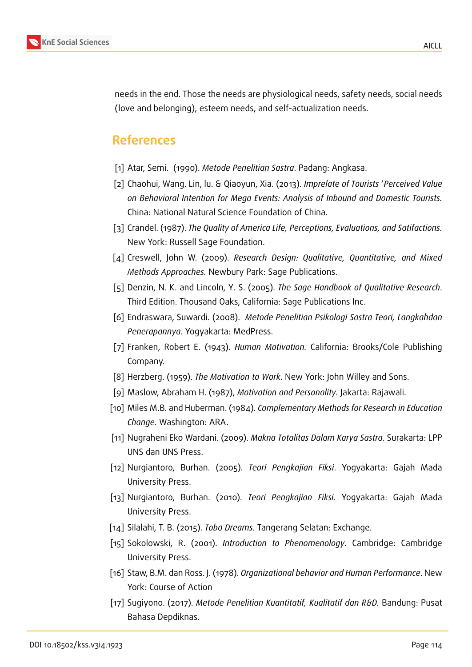

needs in the end. Those the needs are physiological needs, safety needs, social needs (love and belonging), esteem needs, and self-actualization needs.

# **References**

- [1] Atar, Semi. (1990). *Metode Penelitian Sastra*. Padang: Angkasa.
- [2] Chaohui, Wang. Lin, lu. & Qiaoyun, Xia. (2013). *Imprelate of Tourists* ′*Perceived Value on Behavioral Intention for Mega Events: Analysis of Inbound and Domestic Tourists.* China: National Natural Science Foundation of China.
- [3] Crandel. (1987). *The Quality of America Life, Perceptions, Evaluations, and Satifactions.* New York: Russell Sage Foundation.
- [4] Creswell, John W. (2009). *Research Design: Qualitative, Quantitative, and Mixed Methods Approaches.* Newbury Park: Sage Publications.
- [5] Denzin, N. K. and Lincoln, Y. S. (2005). *The Sage Handbook of Qualitative Research*. Third Edition. Thousand Oaks, California: Sage Publications Inc.
- [6] Endraswara, Suwardi. (2008). *Metode Penelitian Psikologi Sastra Teori, Langkahdan Penerapannya*. Yogyakarta: MedPress.
- [7] Franken, Robert E. (1943). *Human Motivation.* California: Brooks/Cole Publishing Company.
- [8] Herzberg. (1959). *The Motivation to Work*. New York: John Willey and Sons.
- <span id="page-8-0"></span>[9] Maslow, Abraham H. (1987), *Motivation and Personality.* Jakarta: Rajawali.
- [10] Miles M.B. and Huberman. (1984). *Complementary Methods for Research in Education Change.* Washington: ARA.
- [11] Nugraheni Eko Wardani. (2009). *Makna Totalitas Dalam Karya Sastra*. Surakarta: LPP UNS dan UNS Press.
- [12] Nurgiantoro, Burhan. (2005). *Teori Pengkajian Fiksi*. Yogyakarta: Gajah Mada University Press.
- [13] Nurgiantoro, Burhan. (2010). *Teori Pengkajian Fiksi*. Yogyakarta: Gajah Mada University Press.
- [14] Silalahi, T. B. (2015). *Toba Dreams*. Tangerang Selatan: Exchange.
- [15] Sokolowski, R. (2001). *Introduction to Phenomenology.* Cambridge: Cambridge University Press.
- [16] Staw, B.M. dan Ross. J. (1978). *Organizational behavior and Human Performance*. New York: Course of Action
- [17] Sugiyono. (2017). *Metode Penelitian Kuantitatif, Kualitatif dan R&D.* Bandung: Pusat Bahasa Depdiknas.